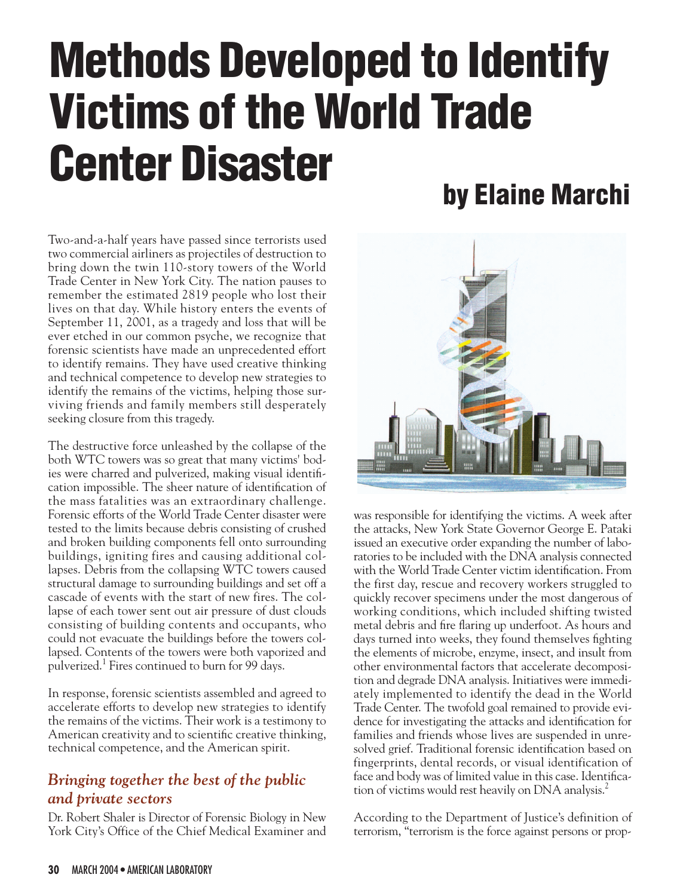# **Methods Developed to Identify Victims of the World Trade Center Disaster by Elaine Marchi**

Two-and-a-half years have passed since terrorists used two commercial airliners as projectiles of destruction to bring down the twin 110-story towers of the World Trade Center in New York City. The nation pauses to remember the estimated 2819 people who lost their lives on that day. While history enters the events of September 11, 2001, as a tragedy and loss that will be ever etched in our common psyche, we recognize that forensic scientists have made an unprecedented effort to identify remains. They have used creative thinking and technical competence to develop new strategies to identify the remains of the victims, helping those surviving friends and family members still desperately seeking closure from this tragedy.

The destructive force unleashed by the collapse of the both WTC towers was so great that many victims' bodies were charred and pulverized, making visual identification impossible. The sheer nature of identification of the mass fatalities was an extraordinary challenge. Forensic efforts of the World Trade Center disaster were tested to the limits because debris consisting of crushed and broken building components fell onto surrounding buildings, igniting fires and causing additional collapses. Debris from the collapsing WTC towers caused structural damage to surrounding buildings and set off a cascade of events with the start of new fires. The collapse of each tower sent out air pressure of dust clouds consisting of building contents and occupants, who could not evacuate the buildings before the towers collapsed. Contents of the towers were both vaporized and pulverized.1 Fires continued to burn for 99 days.

In response, forensic scientists assembled and agreed to accelerate efforts to develop new strategies to identify the remains of the victims. Their work is a testimony to American creativity and to scientific creative thinking, technical competence, and the American spirit.

## *Bringing together the best of the public and private sectors*

Dr. Robert Shaler is Director of Forensic Biology in New York City's Office of the Chief Medical Examiner and



was responsible for identifying the victims. A week after the attacks, New York State Governor George E. Pataki issued an executive order expanding the number of laboratories to be included with the DNA analysis connected with the World Trade Center victim identification. From the first day, rescue and recovery workers struggled to quickly recover specimens under the most dangerous of working conditions, which included shifting twisted metal debris and fire flaring up underfoot. As hours and days turned into weeks, they found themselves fighting the elements of microbe, enzyme, insect, and insult from other environmental factors that accelerate decomposition and degrade DNA analysis. Initiatives were immediately implemented to identify the dead in the World Trade Center. The twofold goal remained to provide evidence for investigating the attacks and identification for families and friends whose lives are suspended in unresolved grief. Traditional forensic identification based on fingerprints, dental records, or visual identification of face and body was of limited value in this case. Identification of victims would rest heavily on DNA analysis.<sup>2</sup>

According to the Department of Justice's definition of terrorism, "terrorism is the force against persons or prop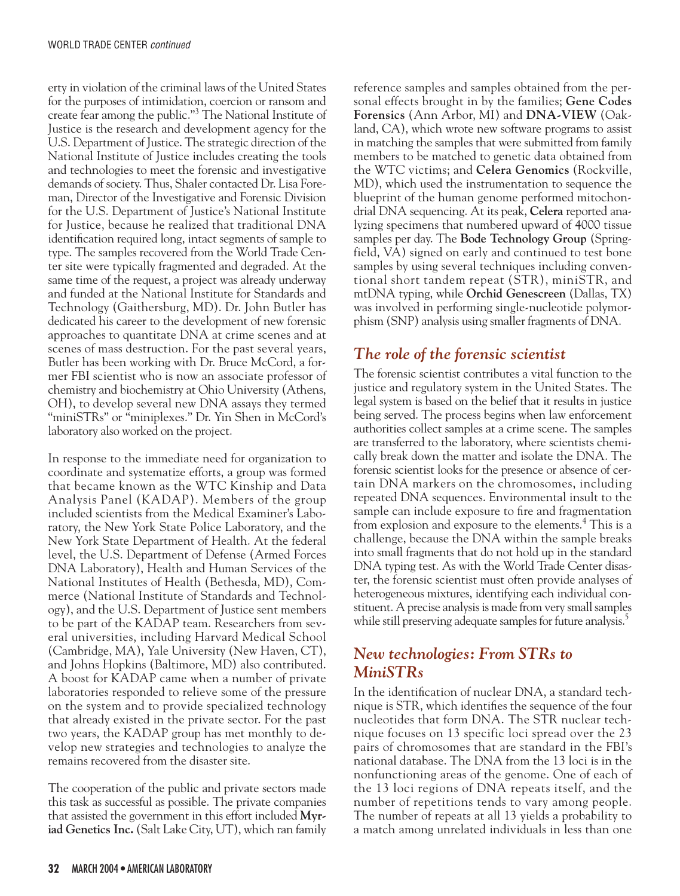erty in violation of the criminal laws of the United States for the purposes of intimidation, coercion or ransom and create fear among the public."3 The National Institute of Justice is the research and development agency for the U.S. Department of Justice. The strategic direction of the National Institute of Justice includes creating the tools and technologies to meet the forensic and investigative demands of society. Thus, Shaler contacted Dr. Lisa Foreman, Director of the Investigative and Forensic Division for the U.S. Department of Justice's National Institute for Justice, because he realized that traditional DNA identification required long, intact segments of sample to type. The samples recovered from the World Trade Center site were typically fragmented and degraded. At the same time of the request, a project was already underway and funded at the National Institute for Standards and Technology (Gaithersburg, MD). Dr. John Butler has dedicated his career to the development of new forensic approaches to quantitate DNA at crime scenes and at scenes of mass destruction. For the past several years, Butler has been working with Dr. Bruce McCord, a former FBI scientist who is now an associate professor of chemistry and biochemistry at Ohio University (Athens, OH), to develop several new DNA assays they termed "miniSTRs" or "miniplexes." Dr. Yin Shen in McCord's laboratory also worked on the project.

In response to the immediate need for organization to coordinate and systematize efforts, a group was formed that became known as the WTC Kinship and Data Analysis Panel (KADAP). Members of the group included scientists from the Medical Examiner's Laboratory, the New York State Police Laboratory, and the New York State Department of Health. At the federal level, the U.S. Department of Defense (Armed Forces DNA Laboratory), Health and Human Services of the National Institutes of Health (Bethesda, MD), Commerce (National Institute of Standards and Technology), and the U.S. Department of Justice sent members to be part of the KADAP team. Researchers from several universities, including Harvard Medical School (Cambridge, MA), Yale University (New Haven, CT), and Johns Hopkins (Baltimore, MD) also contributed. A boost for KADAP came when a number of private laboratories responded to relieve some of the pressure on the system and to provide specialized technology that already existed in the private sector. For the past two years, the KADAP group has met monthly to develop new strategies and technologies to analyze the remains recovered from the disaster site.

The cooperation of the public and private sectors made this task as successful as possible. The private companies that assisted the government in this effort included **Myriad Genetics Inc.**(Salt Lake City, UT), which ran family

reference samples and samples obtained from the personal effects brought in by the families; **Gene Codes Forensics** (Ann Arbor, MI) and **DNA-VIEW** (Oakland, CA), which wrote new software programs to assist in matching the samples that were submitted from family members to be matched to genetic data obtained from the WTC victims; and **Celera Genomics** (Rockville, MD), which used the instrumentation to sequence the blueprint of the human genome performed mitochondrial DNA sequencing. At its peak, **Celera** reported analyzing specimens that numbered upward of 4000 tissue samples per day. The **Bode Technology Group** (Springfield, VA) signed on early and continued to test bone samples by using several techniques including conventional short tandem repeat (STR), miniSTR, and mtDNA typing, while **Orchid Genescreen** (Dallas, TX) was involved in performing single-nucleotide polymorphism (SNP) analysis using smaller fragments of DNA.

## *The role of the forensic scientist*

The forensic scientist contributes a vital function to the justice and regulatory system in the United States. The legal system is based on the belief that it results in justice being served. The process begins when law enforcement authorities collect samples at a crime scene. The samples are transferred to the laboratory, where scientists chemically break down the matter and isolate the DNA. The forensic scientist looks for the presence or absence of certain DNA markers on the chromosomes, including repeated DNA sequences. Environmental insult to the sample can include exposure to fire and fragmentation from explosion and exposure to the elements.<sup>4</sup> This is a challenge, because the DNA within the sample breaks into small fragments that do not hold up in the standard DNA typing test. As with the World Trade Center disaster, the forensic scientist must often provide analyses of heterogeneous mixtures, identifying each individual constituent. A precise analysis is made from very small samples while still preserving adequate samples for future analysis.<sup>5</sup>

#### *New technologies: From STRs to MiniSTRs*

In the identification of nuclear DNA, a standard technique is STR, which identifies the sequence of the four nucleotides that form DNA. The STR nuclear technique focuses on 13 specific loci spread over the 23 pairs of chromosomes that are standard in the FBI's national database. The DNA from the 13 loci is in the nonfunctioning areas of the genome. One of each of the 13 loci regions of DNA repeats itself, and the number of repetitions tends to vary among people. The number of repeats at all 13 yields a probability to a match among unrelated individuals in less than one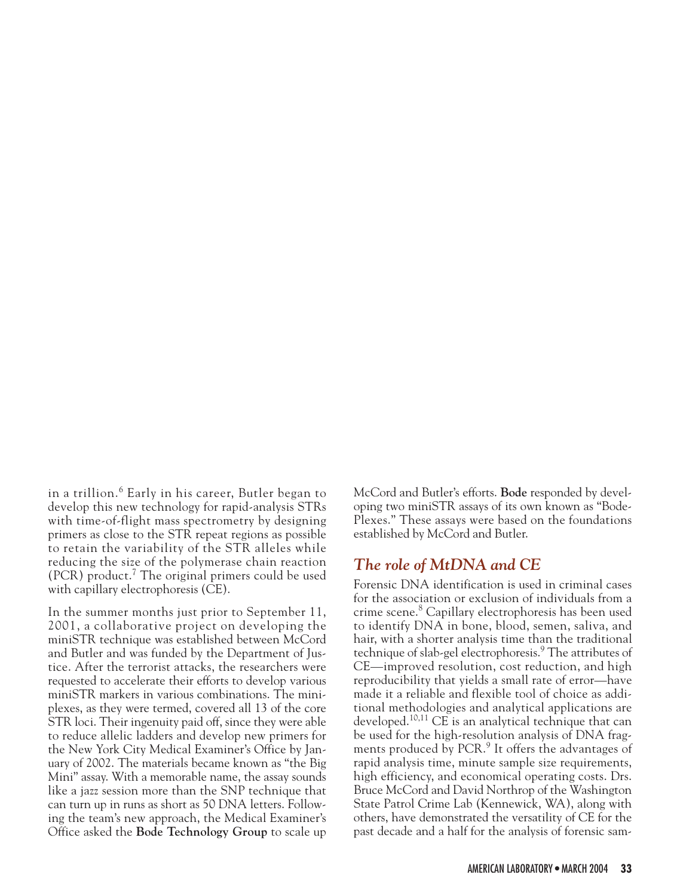in a trillion.<sup>6</sup> Early in his career, Butler began to develop this new technology for rapid-analysis STRs with time-of-flight mass spectrometry by designing primers as close to the STR repeat regions as possible to retain the variability of the STR alleles while reducing the size of the polymerase chain reaction  $(PCR)$  product.<sup>7</sup> The original primers could be used with capillary electrophoresis (CE).

In the summer months just prior to September 11, 2001, a collaborative project on developing the miniSTR technique was established between McCord and Butler and was funded by the Department of Justice. After the terrorist attacks, the researchers were requested to accelerate their efforts to develop various miniSTR markers in various combinations. The miniplexes, as they were termed, covered all 13 of the core STR loci. Their ingenuity paid off, since they were able to reduce allelic ladders and develop new primers for the New York City Medical Examiner's Office by January of 2002. The materials became known as "the Big Mini" assay. With a memorable name, the assay sounds like a jazz session more than the SNP technique that can turn up in runs as short as 50 DNA letters. Following the team's new approach, the Medical Examiner's Office asked the **Bode Technology Group** to scale up McCord and Butler's efforts. **Bode** responded by developing two miniSTR assays of its own known as "Bode-Plexes." These assays were based on the foundations established by McCord and Butler.

#### *The role of MtDNA and CE*

Forensic DNA identification is used in criminal cases for the association or exclusion of individuals from a crime scene.<sup>8</sup> Capillary electrophoresis has been used to identify DNA in bone, blood, semen, saliva, and hair, with a shorter analysis time than the traditional technique of slab-gel electrophoresis.<sup>9</sup> The attributes of CE—improved resolution, cost reduction, and high reproducibility that yields a small rate of error—have made it a reliable and flexible tool of choice as additional methodologies and analytical applications are developed.<sup>10,11</sup> CE is an analytical technique that can be used for the high-resolution analysis of DNA fragments produced by PCR.<sup>9</sup> It offers the advantages of rapid analysis time, minute sample size requirements, high efficiency, and economical operating costs. Drs. Bruce McCord and David Northrop of the Washington State Patrol Crime Lab (Kennewick, WA), along with others, have demonstrated the versatility of CE for the past decade and a half for the analysis of forensic sam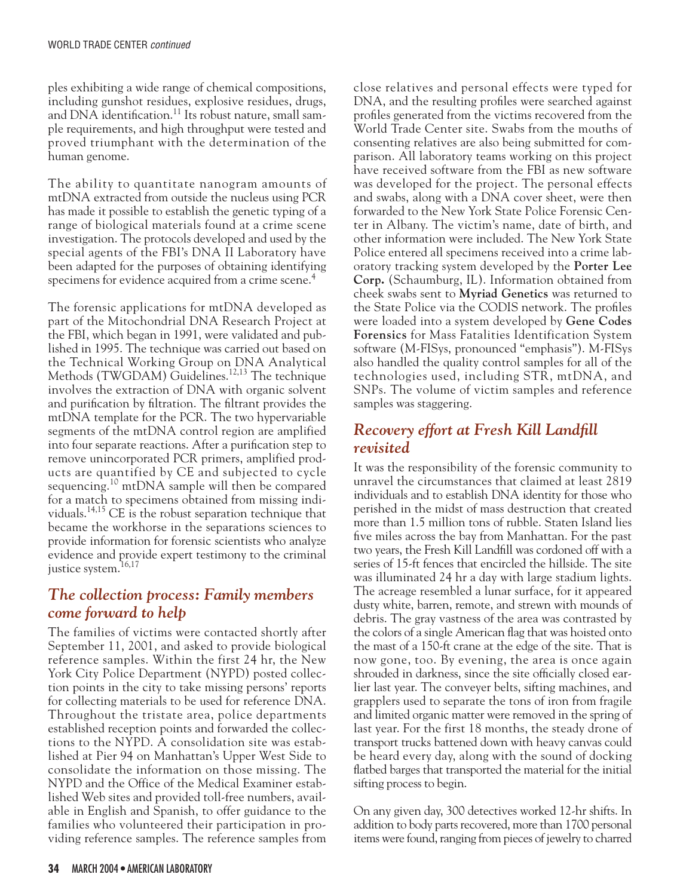ples exhibiting a wide range of chemical compositions, including gunshot residues, explosive residues, drugs, and DNA identification.<sup>11</sup> Its robust nature, small sample requirements, and high throughput were tested and proved triumphant with the determination of the human genome.

The ability to quantitate nanogram amounts of mtDNA extracted from outside the nucleus using PCR has made it possible to establish the genetic typing of a range of biological materials found at a crime scene investigation. The protocols developed and used by the special agents of the FBI's DNA II Laboratory have been adapted for the purposes of obtaining identifying specimens for evidence acquired from a crime scene.<sup>4</sup>

The forensic applications for mtDNA developed as part of the Mitochondrial DNA Research Project at the FBI, which began in 1991, were validated and published in 1995. The technique was carried out based on the Technical Working Group on DNA Analytical Methods (TWGDAM) Guidelines.<sup>12,13</sup> The technique involves the extraction of DNA with organic solvent and purification by filtration. The filtrant provides the mtDNA template for the PCR. The two hypervariable segments of the mtDNA control region are amplified into four separate reactions. After a purification step to remove unincorporated PCR primers, amplified products are quantified by CE and subjected to cycle sequencing.10 mtDNA sample will then be compared for a match to specimens obtained from missing individuals.14,15 CE is the robust separation technique that became the workhorse in the separations sciences to provide information for forensic scientists who analyze evidence and provide expert testimony to the criminal justice system.<sup>16,17</sup>

#### *The collection process: Family members come forward to help*

The families of victims were contacted shortly after September 11, 2001, and asked to provide biological reference samples. Within the first 24 hr, the New York City Police Department (NYPD) posted collection points in the city to take missing persons' reports for collecting materials to be used for reference DNA. Throughout the tristate area, police departments established reception points and forwarded the collections to the NYPD. A consolidation site was established at Pier 94 on Manhattan's Upper West Side to consolidate the information on those missing. The NYPD and the Office of the Medical Examiner established Web sites and provided toll-free numbers, available in English and Spanish, to offer guidance to the families who volunteered their participation in providing reference samples. The reference samples from close relatives and personal effects were typed for DNA, and the resulting profiles were searched against profiles generated from the victims recovered from the World Trade Center site. Swabs from the mouths of consenting relatives are also being submitted for comparison. All laboratory teams working on this project have received software from the FBI as new software was developed for the project. The personal effects and swabs, along with a DNA cover sheet, were then forwarded to the New York State Police Forensic Center in Albany. The victim's name, date of birth, and other information were included. The New York State Police entered all specimens received into a crime laboratory tracking system developed by the **Porter Lee Corp.** (Schaumburg, IL). Information obtained from cheek swabs sent to **Myriad Genetics** was returned to the State Police via the CODIS network. The profiles were loaded into a system developed by **Gene Codes Forensics** for Mass Fatalities Identification System software (M-FISys, pronounced "emphasis"). M-FISys also handled the quality control samples for all of the technologies used, including STR, mtDNA, and SNPs. The volume of victim samples and reference samples was staggering.

#### *Recovery effort at Fresh Kill Landfill revisited*

It was the responsibility of the forensic community to unravel the circumstances that claimed at least 2819 individuals and to establish DNA identity for those who perished in the midst of mass destruction that created more than 1.5 million tons of rubble. Staten Island lies five miles across the bay from Manhattan. For the past two years, the Fresh Kill Landfill was cordoned off with a series of 15-ft fences that encircled the hillside. The site was illuminated 24 hr a day with large stadium lights. The acreage resembled a lunar surface, for it appeared dusty white, barren, remote, and strewn with mounds of debris. The gray vastness of the area was contrasted by the colors of a single American flag that was hoisted onto the mast of a 150-ft crane at the edge of the site. That is now gone, too. By evening, the area is once again shrouded in darkness, since the site officially closed earlier last year. The conveyer belts, sifting machines, and grapplers used to separate the tons of iron from fragile and limited organic matter were removed in the spring of last year. For the first 18 months, the steady drone of transport trucks battened down with heavy canvas could be heard every day, along with the sound of docking flatbed barges that transported the material for the initial sifting process to begin.

On any given day, 300 detectives worked 12-hr shifts. In addition to body parts recovered, more than 1700 personal items were found, ranging from pieces of jewelry to charred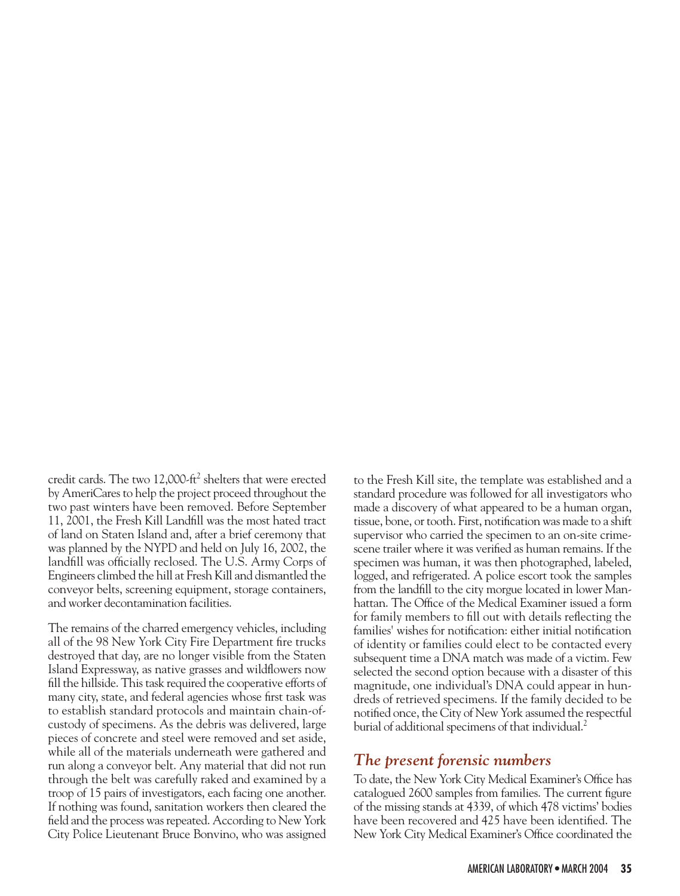credit cards. The two 12,000-ft<sup>2</sup> shelters that were erected by AmeriCares to help the project proceed throughout the two past winters have been removed. Before September 11, 2001, the Fresh Kill Landfill was the most hated tract of land on Staten Island and, after a brief ceremony that was planned by the NYPD and held on July 16, 2002, the landfill was officially reclosed. The U.S. Army Corps of Engineers climbed the hill at Fresh Kill and dismantled the conveyor belts, screening equipment, storage containers, and worker decontamination facilities.

The remains of the charred emergency vehicles, including all of the 98 New York City Fire Department fire trucks destroyed that day, are no longer visible from the Staten Island Expressway, as native grasses and wildflowers now fill the hillside. This task required the cooperative efforts of many city, state, and federal agencies whose first task was to establish standard protocols and maintain chain-ofcustody of specimens. As the debris was delivered, large pieces of concrete and steel were removed and set aside, while all of the materials underneath were gathered and run along a conveyor belt. Any material that did not run through the belt was carefully raked and examined by a troop of 15 pairs of investigators, each facing one another. If nothing was found, sanitation workers then cleared the field and the process was repeated. According to New York City Police Lieutenant Bruce Bonvino, who was assigned to the Fresh Kill site, the template was established and a standard procedure was followed for all investigators who made a discovery of what appeared to be a human organ, tissue, bone, or tooth. First, notification was made to a shift supervisor who carried the specimen to an on-site crimescene trailer where it was verified as human remains. If the specimen was human, it was then photographed, labeled, logged, and refrigerated. A police escort took the samples from the landfill to the city morgue located in lower Manhattan. The Office of the Medical Examiner issued a form for family members to fill out with details reflecting the families' wishes for notification: either initial notification of identity or families could elect to be contacted every subsequent time a DNA match was made of a victim. Few selected the second option because with a disaster of this magnitude, one individual's DNA could appear in hundreds of retrieved specimens. If the family decided to be notified once, the City of New York assumed the respectful burial of additional specimens of that individual.<sup>2</sup>

#### *The present forensic numbers*

To date, the New York City Medical Examiner's Office has catalogued 2600 samples from families. The current figure of the missing stands at 4339, of which 478 victims' bodies have been recovered and 425 have been identified. The New York City Medical Examiner's Office coordinated the